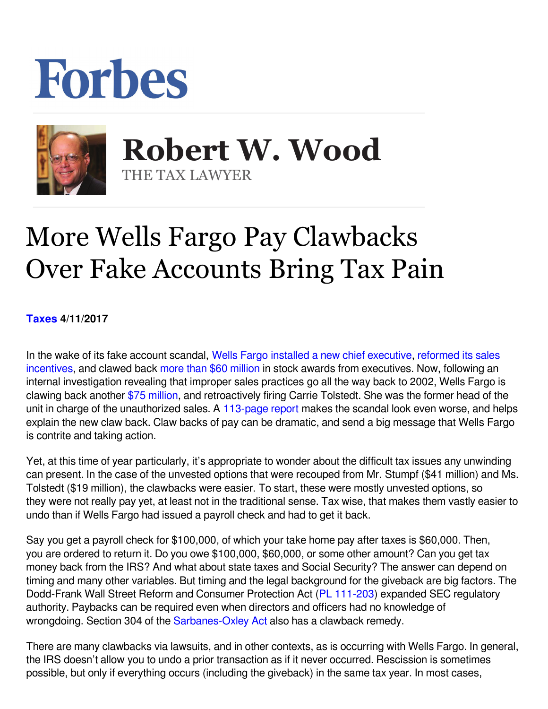## Forbes



**Robert W. Wood Robert W. Wood** THE TAX LAWYER THE TAX LAWYER

## More Wells Fargo Pay Clawbacks Over Fake Accounts Bring Tax Pain

**[Taxes](https://www.forbes.com/taxes) 4/11/2017** 

In the wake of its fake account scandal, [Wells Fargo](http://www.forbes.com/companies/wells-fargo/) [installed a new chief executive](https://www.forbes.com/sites/maggiemcgrath/2016/10/12/embattled-wells-fargo-ceo-john-stumpf-is-retiring-effective-immediately/#1ee1848011f6), [reformed its sales](https://www.forbes.com/sites/laurengensler/2016/09/13/wells-fargo-to-end-sales-targets-after-fake-account-scandal/#3cdb931238e6) [incentives,](https://www.forbes.com/sites/laurengensler/2016/09/13/wells-fargo-to-end-sales-targets-after-fake-account-scandal/#3cdb931238e6) and clawed back [more than \\$60 million](https://www.forbes.com/sites/maggiemcgrath/2016/09/27/wells-fargo-board-forces-ceo-stumpf-to-forfeit-41-million-in-stock-awards/#686138453911) in stock awards from executives. Now, following an internal investigation revealing that improper sales practices go all the way back to 2002, Wells Fargo is clawing back another \$75 million[,](https://www.nytimes.com/2017/04/10/business/wells-fargo-pay-executives-accounts-scandal.html) and retroactively firing Carrie Tolstedt. She was the former head of the unit in charge of the unauthorized sales. A [113-page report](https://www08.wellsfargomedia.com/assets/pdf/about/investor-relations/presentations/2017/board-report.pdf?https://www.wellsfargo.com/assets/pdf/about/investor-relations/presentations/2017/board-report.pdf) makes the scandal look even worse, and helps explain the new claw back. Claw backs of pay can be dramatic, and send a big message that Wells Fargo is contrite and taking action.

Yet, at this time of year particularly, it's appropriate to wonder about the difficult tax issues any unwinding can present. In the case of the unvested options that were recouped from Mr. Stumpf (\$41 million) and Ms. Tolstedt (\$19 million), the clawbacks were easier. To start, these were mostly unvested options, so they were not really pay yet, at least not in the traditional sense. Tax wise, that makes them vastly easier to undo than if Wells Fargo had issued a payroll check and had to get it back.

Say you get a payroll check for \$100,000, of which your take home pay after taxes is \$60,000. Then, you are ordered to return it. Do you owe \$100,000, \$60,000, or some other amount? Can you get tax money back from the IRS? And what about state taxes and Social Security? The answer can depend on timing and many other variables. But timing and the legal background for the giveback are big factors. The Dodd-Frank Wall Street Reform and Consumer Protection Act ([PL 111-203](http://frwebgate.access.gpo.gov/cgi-bin/getdoc.cgi?dbname=111_cong_bills&docid=f:h4173enr.txt.pdf)) expanded SEC regulatory authority. Paybacks can be required even when directors and officers had no knowledge of wrongdoing. Section 304 of the [Sarbanes-Oxley Act](http://www.gpo.gov/fdsys/pkg/PLAW-107publ204/pdf/PLAW-107publ204.pdf) also has a clawback remedy.

There are many clawbacks via lawsuits, and in other contexts, as is occurring with Wells Fargo. In general, the IRS doesn't allow you to undo a prior transaction as if it never occurred. Rescission is sometimes possible, but only if everything occurs (including the giveback) in the same tax year. In most cases,